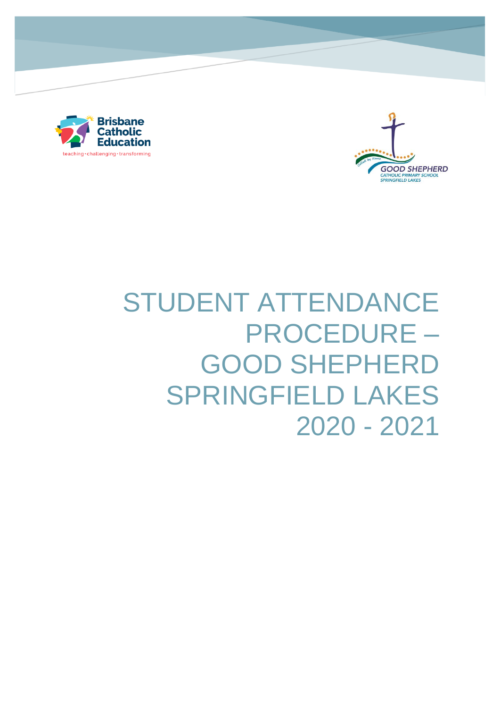

stu



# STUDENT ATTENDANCE PROCEDURE – GOOD SHEPHERD SPRINGFIELD LAKES 2020 - 2021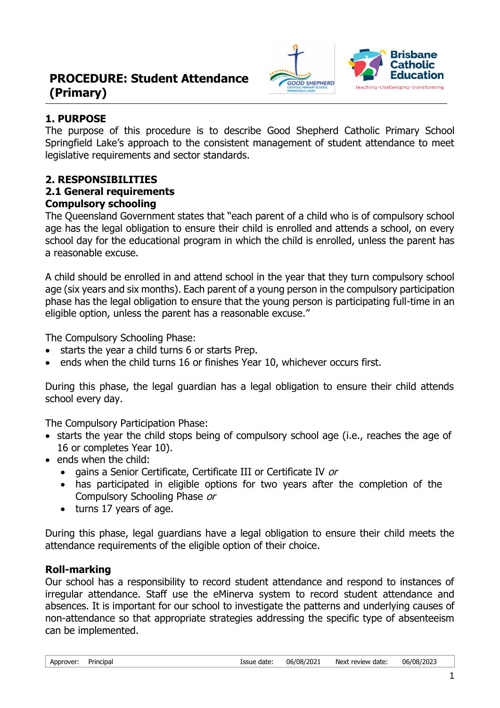# **PROCEDURE: Student Attendance (Primary)**



# **1. PURPOSE**

The purpose of this procedure is to describe Good Shepherd Catholic Primary School Springfield Lake's approach to the consistent management of student attendance to meet legislative requirements and sector standards.

# **2. RESPONSIBILITIES**

#### **2.1 General requirements Compulsory schooling**

The Queensland Government states that "each parent of a child who is of compulsory school age has the legal obligation to ensure their child is enrolled and attends a school, on every school day for the educational program in which the child is enrolled, unless the parent has a reasonable excuse.

A child should be enrolled in and attend school in the year that they turn compulsory school age (six years and six months). Each parent of a young person in the compulsory participation phase has the legal obligation to ensure that the young person is participating full-time in an eligible option, unless the parent has a reasonable excuse."

The Compulsory Schooling Phase:

- starts the year a child turns 6 or starts Prep.
- ends when the child turns 16 or finishes Year 10, whichever occurs first.

During this phase, the legal guardian has a legal obligation to ensure their child attends school every day.

The Compulsory Participation Phase:

- starts the year the child stops being of compulsory school age (i.e., reaches the age of 16 or completes Year 10).
- ends when the child:
	- gains a Senior Certificate, Certificate III or Certificate IV or
	- has participated in eligible options for two years after the completion of the Compulsory Schooling Phase or
	- turns 17 years of age.

During this phase, legal guardians have a legal obligation to ensure their child meets the attendance requirements of the eligible option of their choice.

# **Roll-marking**

Our school has a responsibility to record student attendance and respond to instances of irregular attendance. Staff use the eMinerva system to record student attendance and absences. It is important for our school to investigate the patterns and underlying causes of non-attendance so that appropriate strategies addressing the specific type of absenteeism can be implemented.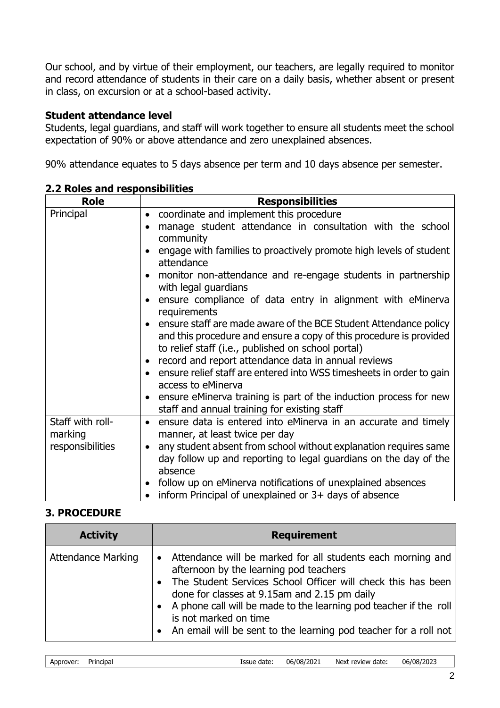Our school, and by virtue of their employment, our teachers, are legally required to monitor and record attendance of students in their care on a daily basis, whether absent or present in class, on excursion or at a school-based activity.

## **Student attendance level**

Students, legal guardians, and staff will work together to ensure all students meet the school expectation of 90% or above attendance and zero unexplained absences.

90% attendance equates to 5 days absence per term and 10 days absence per semester.

| <b>Role</b>                                     | <b>Responsibilities</b>                                                                                                                                                                                                                                                                                                                                                                                                                                                                                                                                                                                                                                                                                                                                                                                                                                                                          |
|-------------------------------------------------|--------------------------------------------------------------------------------------------------------------------------------------------------------------------------------------------------------------------------------------------------------------------------------------------------------------------------------------------------------------------------------------------------------------------------------------------------------------------------------------------------------------------------------------------------------------------------------------------------------------------------------------------------------------------------------------------------------------------------------------------------------------------------------------------------------------------------------------------------------------------------------------------------|
| Principal                                       | coordinate and implement this procedure<br>$\bullet$<br>manage student attendance in consultation with the school<br>$\bullet$<br>community<br>engage with families to proactively promote high levels of student<br>attendance<br>monitor non-attendance and re-engage students in partnership<br>with legal guardians<br>ensure compliance of data entry in alignment with eMinerva<br>$\bullet$<br>requirements<br>• ensure staff are made aware of the BCE Student Attendance policy<br>and this procedure and ensure a copy of this procedure is provided<br>to relief staff (i.e., published on school portal)<br>record and report attendance data in annual reviews<br>• ensure relief staff are entered into WSS timesheets in order to gain<br>access to eMinerva<br>ensure eMinerva training is part of the induction process for new<br>staff and annual training for existing staff |
| Staff with roll-<br>marking<br>responsibilities | ensure data is entered into eMinerva in an accurate and timely<br>$\bullet$<br>manner, at least twice per day<br>any student absent from school without explanation requires same<br>$\bullet$<br>day follow up and reporting to legal guardians on the day of the<br>absence<br>follow up on eMinerva notifications of unexplained absences<br>inform Principal of unexplained or $3+$ days of absence                                                                                                                                                                                                                                                                                                                                                                                                                                                                                          |

**2.2 Roles and responsibilities**

#### **3. PROCEDURE**

| <b>Activity</b>           | <b>Requirement</b>                                                                                                                                                                                                                                                                                                                                                                                         |
|---------------------------|------------------------------------------------------------------------------------------------------------------------------------------------------------------------------------------------------------------------------------------------------------------------------------------------------------------------------------------------------------------------------------------------------------|
| <b>Attendance Marking</b> | Attendance will be marked for all students each morning and<br>$\bullet$<br>afternoon by the learning pod teachers<br>• The Student Services School Officer will check this has been<br>done for classes at 9.15am and 2.15 pm daily<br>• A phone call will be made to the learning pod teacher if the roll<br>is not marked on time<br>• An email will be sent to the learning pod teacher for a roll not |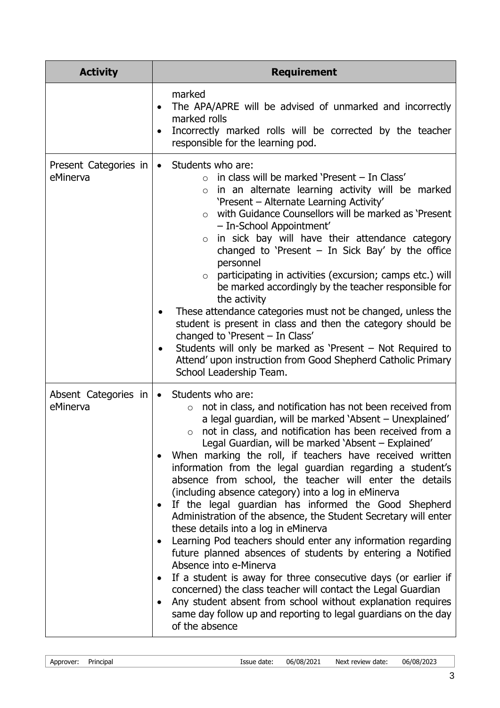| <b>Activity</b>                   | <b>Requirement</b>                                                                                                                                                                                                                                                                                                                                                                                                                                                                                                                                                                                                                                                                                                                                                                                                                                                                                                                                                                                                                                                                                                                                                                       |
|-----------------------------------|------------------------------------------------------------------------------------------------------------------------------------------------------------------------------------------------------------------------------------------------------------------------------------------------------------------------------------------------------------------------------------------------------------------------------------------------------------------------------------------------------------------------------------------------------------------------------------------------------------------------------------------------------------------------------------------------------------------------------------------------------------------------------------------------------------------------------------------------------------------------------------------------------------------------------------------------------------------------------------------------------------------------------------------------------------------------------------------------------------------------------------------------------------------------------------------|
|                                   | marked<br>The APA/APRE will be advised of unmarked and incorrectly<br>$\bullet$<br>marked rolls<br>Incorrectly marked rolls will be corrected by the teacher<br>$\bullet$<br>responsible for the learning pod.                                                                                                                                                                                                                                                                                                                                                                                                                                                                                                                                                                                                                                                                                                                                                                                                                                                                                                                                                                           |
| Present Categories in<br>eMinerva | Students who are:<br>$\bullet$<br>in class will be marked 'Present - In Class'<br>in an alternate learning activity will be marked<br>$\circ$<br>'Present - Alternate Learning Activity'<br>with Guidance Counsellors will be marked as 'Present<br>$\circ$<br>- In-School Appointment'<br>in sick bay will have their attendance category<br>$\circ$<br>changed to 'Present $-$ In Sick Bay' by the office<br>personnel<br>participating in activities (excursion; camps etc.) will<br>$\circ$<br>be marked accordingly by the teacher responsible for<br>the activity<br>These attendance categories must not be changed, unless the<br>student is present in class and then the category should be<br>changed to 'Present - In Class'<br>Students will only be marked as 'Present - Not Required to<br>Attend' upon instruction from Good Shepherd Catholic Primary<br>School Leadership Team.                                                                                                                                                                                                                                                                                        |
| Absent Categories in<br>eMinerva  | Students who are:<br>$\bullet$<br>not in class, and notification has not been received from<br>$\circ$<br>a legal guardian, will be marked 'Absent - Unexplained'<br>not in class, and notification has been received from a<br>$\circ$<br>Legal Guardian, will be marked 'Absent - Explained'<br>When marking the roll, if teachers have received written<br>information from the legal guardian regarding a student's<br>absence from school, the teacher will enter the details<br>(including absence category) into a log in eMinerva<br>If the legal guardian has informed the Good Shepherd<br>٠<br>Administration of the absence, the Student Secretary will enter<br>these details into a log in eMinerva<br>Learning Pod teachers should enter any information regarding<br>$\bullet$<br>future planned absences of students by entering a Notified<br>Absence into e-Minerva<br>If a student is away for three consecutive days (or earlier if<br>$\bullet$<br>concerned) the class teacher will contact the Legal Guardian<br>Any student absent from school without explanation requires<br>same day follow up and reporting to legal guardians on the day<br>of the absence |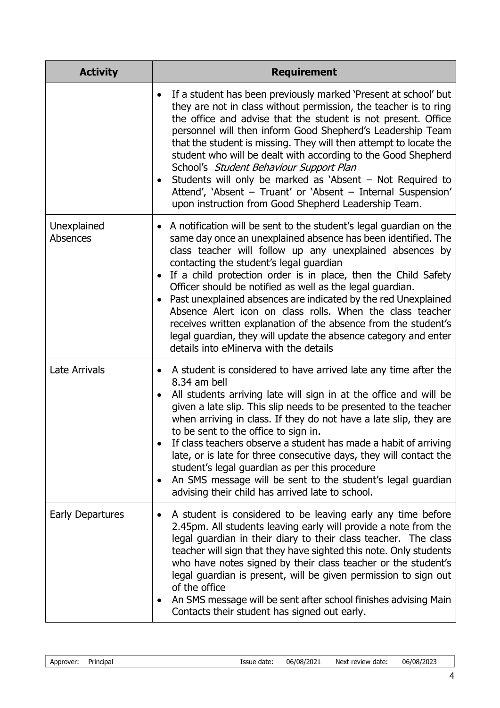| <b>Activity</b>                | <b>Requirement</b>                                                                                                                                                                                                                                                                                                                                                                                                                                                                                                                                                                                                                                                                                                  |
|--------------------------------|---------------------------------------------------------------------------------------------------------------------------------------------------------------------------------------------------------------------------------------------------------------------------------------------------------------------------------------------------------------------------------------------------------------------------------------------------------------------------------------------------------------------------------------------------------------------------------------------------------------------------------------------------------------------------------------------------------------------|
|                                | If a student has been previously marked 'Present at school' but<br>$\bullet$<br>they are not in class without permission, the teacher is to ring<br>the office and advise that the student is not present. Office<br>personnel will then inform Good Shepherd's Leadership Team<br>that the student is missing. They will then attempt to locate the<br>student who will be dealt with according to the Good Shepherd<br>School's Student Behaviour Support Plan<br>Students will only be marked as 'Absent $-$ Not Required to<br>$\bullet$<br>Attend', 'Absent - Truant' or 'Absent - Internal Suspension'<br>upon instruction from Good Shepherd Leadership Team.                                                |
| Unexplained<br><b>Absences</b> | • A notification will be sent to the student's legal guardian on the<br>same day once an unexplained absence has been identified. The<br>class teacher will follow up any unexplained absences by<br>contacting the student's legal guardian<br>If a child protection order is in place, then the Child Safety<br>$\bullet$<br>Officer should be notified as well as the legal guardian.<br>Past unexplained absences are indicated by the red Unexplained<br>$\bullet$<br>Absence Alert icon on class rolls. When the class teacher<br>receives written explanation of the absence from the student's<br>legal guardian, they will update the absence category and enter<br>details into eMinerva with the details |
| <b>Late Arrivals</b>           | A student is considered to have arrived late any time after the<br>8.34 am bell<br>All students arriving late will sign in at the office and will be<br>$\bullet$<br>given a late slip. This slip needs to be presented to the teacher<br>when arriving in class. If they do not have a late slip, they are<br>to be sent to the office to sign in.<br>If class teachers observe a student has made a habit of arriving<br>late, or is late for three consecutive days, they will contact the<br>student's legal guardian as per this procedure<br>An SMS message will be sent to the student's legal guardian<br>٠<br>advising their child has arrived late to school.                                             |
| Early Departures               | A student is considered to be leaving early any time before<br>٠<br>2.45pm. All students leaving early will provide a note from the<br>legal guardian in their diary to their class teacher. The class<br>teacher will sign that they have sighted this note. Only students<br>who have notes signed by their class teacher or the student's<br>legal guardian is present, will be given permission to sign out<br>of the office<br>An SMS message will be sent after school finishes advising Main<br>٠<br>Contacts their student has signed out early.                                                                                                                                                            |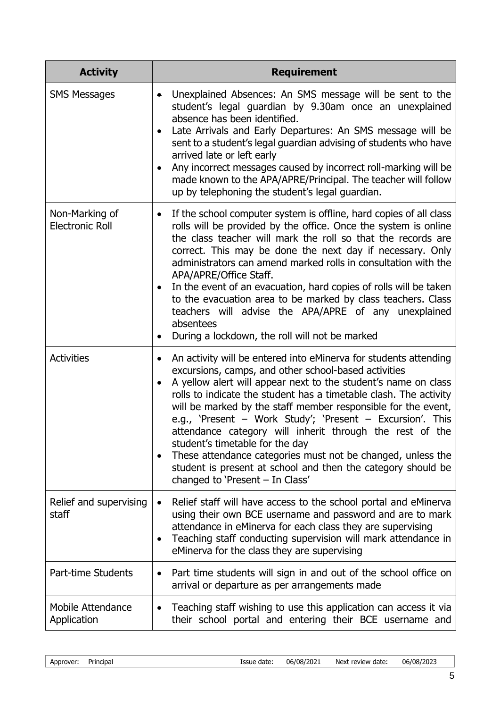| <b>Activity</b>                          | <b>Requirement</b>                                                                                                                                                                                                                                                                                                                                                                                                                                                                                                                                                                                                                                                                                    |
|------------------------------------------|-------------------------------------------------------------------------------------------------------------------------------------------------------------------------------------------------------------------------------------------------------------------------------------------------------------------------------------------------------------------------------------------------------------------------------------------------------------------------------------------------------------------------------------------------------------------------------------------------------------------------------------------------------------------------------------------------------|
| <b>SMS Messages</b>                      | Unexplained Absences: An SMS message will be sent to the<br>٠<br>student's legal guardian by 9.30am once an unexplained<br>absence has been identified.<br>Late Arrivals and Early Departures: An SMS message will be<br>$\bullet$<br>sent to a student's legal guardian advising of students who have<br>arrived late or left early<br>Any incorrect messages caused by incorrect roll-marking will be<br>$\bullet$<br>made known to the APA/APRE/Principal. The teacher will follow<br>up by telephoning the student's legal guardian.                                                                                                                                                              |
| Non-Marking of<br><b>Electronic Roll</b> | If the school computer system is offline, hard copies of all class<br>$\bullet$<br>rolls will be provided by the office. Once the system is online<br>the class teacher will mark the roll so that the records are<br>correct. This may be done the next day if necessary. Only<br>administrators can amend marked rolls in consultation with the<br>APA/APRE/Office Staff.<br>In the event of an evacuation, hard copies of rolls will be taken<br>$\bullet$<br>to the evacuation area to be marked by class teachers. Class<br>teachers will advise the APA/APRE of any unexplained<br>absentees<br>During a lockdown, the roll will not be marked                                                  |
| <b>Activities</b>                        | An activity will be entered into eMinerva for students attending<br>$\bullet$<br>excursions, camps, and other school-based activities<br>A yellow alert will appear next to the student's name on class<br>$\bullet$<br>rolls to indicate the student has a timetable clash. The activity<br>will be marked by the staff member responsible for the event,<br>e.g., 'Present - Work Study'; 'Present - Excursion'. This<br>attendance category will inherit through the rest of the<br>student's timetable for the day<br>These attendance categories must not be changed, unless the<br>$\bullet$<br>student is present at school and then the category should be<br>changed to 'Present - In Class' |
| Relief and supervising<br>staff          | Relief staff will have access to the school portal and eMinerva<br>using their own BCE username and password and are to mark<br>attendance in eMinerva for each class they are supervising<br>Teaching staff conducting supervision will mark attendance in<br>٠<br>eMinerva for the class they are supervising                                                                                                                                                                                                                                                                                                                                                                                       |
| Part-time Students                       | Part time students will sign in and out of the school office on<br>$\bullet$<br>arrival or departure as per arrangements made                                                                                                                                                                                                                                                                                                                                                                                                                                                                                                                                                                         |
| <b>Mobile Attendance</b><br>Application  | Teaching staff wishing to use this application can access it via<br>their school portal and entering their BCE username and                                                                                                                                                                                                                                                                                                                                                                                                                                                                                                                                                                           |